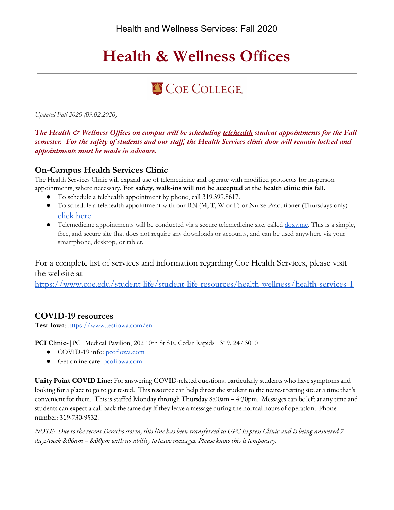# **Health & Wellness Offices**

# COE COLLEGE.

*Updated Fall 2020 (09.02.2020)*

*The Health & Wellness Offices on campus will be scheduling telehealth student appointments for the Fall semester. For the safety of students and our staff, the Health Services clinic door will remain locked and appointments must be made in advance.* 

## **On-Campus Health Services Clinic**

The Health Services Clinic will expand use of telemedicine and operate with modified protocols for in-person appointments, where necessary. **For safety, walk-ins will not be accepted at the health clinic this fall.**

- To schedule a telehealth appointment by phone, call 319.399.8617.
- $\bullet$  To schedule a telehealth appointment with our RN (M, T, W or F) or Nurse Practitioner (Thursdays only) [click here.](https://calendar.google.com/calendar/selfsched?sstoken=UUlXZXVDN2xadHE2fGRlZmF1bHR8YTM5OTJjZjY1ODdhZTAzZjNlYzEwMWUwNmNkODBmYmE)
- Telemedicine appointments will be conducted via a secure telemedicine site, called <u>doxy.me</u>. This is a simple, free, and secure site that does not require any downloads or accounts, and can be used anywhere via your smartphone, desktop, or tablet.

For a complete list of services and information regarding Coe Health Services, please visit the website at

<https://www.coe.edu/student-life/student-life-resources/health-wellness/health-services-1>

## **COVID-19 resources**

**Test Iowa**: <https://www.testiowa.com/en>

**PCI Clinic-**|PCI Medical Pavilion, 202 10th St SE, Cedar Rapids |319. 247.3010

- COVID-19 info: [pcofiowa.com](https://www.pcofiowa.com/patients-visitors/coronavirus-information-resources/)
- Get online care: [pcofiowa.com](https://www.pcofiowa.com/patients-visitors/televisit/)

**Unity Point COVID Line:** For answering COVID-related questions, particularly students who have symptoms and looking for a place to go to get tested. This resource can help direct the student to the nearest testing site at a time that's convenient for them. This is staffed Monday through Thursday 8:00am – 4:30pm. Messages can be left at any time and students can expect a call back the same day if they leave a message during the normal hours of operation. Phone number: 319-730-9532.

*NOTE: Due to the recent Derecho storm, this line has been transferred to UPC Express Clinic and is being answered 7 days/week 8:00am – 8:00pm with no ability to leave messages. Please know this is temporary.*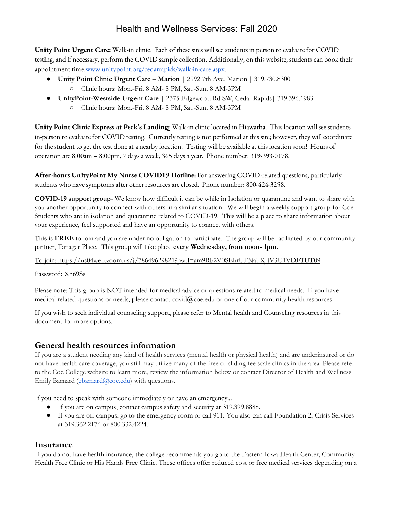**Unity Point Urgent Care:** Walk-in clinic. Each of these sites will see students in person to evaluate for COVID testing, and if necessary, perform the COVID sample collection. Additionally, on this website, students can book their appointment time[.www.unitypoint.org/cedarrapids/walk-in-care.aspx.](https://nam12.safelinks.protection.outlook.com/?url=http%3A%2F%2Fwww.unitypoint.org%2Fcedarrapids%2Fwalk-in-care.aspx&data=02%7C01%7CErica.Earl%40unitypoint.org%7C491b279b61d64135c20e08d84a943551%7Cab214bcd9b9741bbaa9d46cf10d822fd%7C0%7C0%7C637341347698006181&sdata=yW96hD98zcKufIDm9U8YK%2BG6tpTFz71Tw6GfujWBZJc%3D&reserved=0)

- **Unity Point Clinic Urgent Care – Marion |** 2992 7th Ave, Marion | 319.730.8300
	- Clinic hours: Mon.-Fri. 8 AM- 8 PM, Sat.-Sun. 8 AM-3PM
- **UnityPoint-Westside Urgent Care |** 2375 Edgewood Rd SW, Cedar Rapids| 319.396.1983
	- Clinic hours: Mon.-Fri. 8 AM- 8 PM, Sat.-Sun. 8 AM-3PM

**Unity Point Clinic Express at Peck's Landing:** Walk-in clinic located in Hiawatha. This location will see students in-person to evaluate for COVID testing. Currently testing is not performed at this site; however, they will coordinate for the student to get the test done ata nearby location. Testing will be available at this location soon! Hours of operation are 8:00am – 8:00pm, 7 days a week, 365 days a year. Phone number: 319-393-0178.

**After-hours UnityPoint My Nurse COVID19 Hotline:** For answering COVID-related questions, particularly students who have symptoms after other resources are closed. Phone number: 800-424-3258.

**COVID-19 support group**- We know how difficult it can be while in Isolation or quarantine and want to share with you another opportunity to connect with others in a similar situation. We will begin a weekly support group for Coe Students who are in isolation and quarantine related to COVID-19. This will be a place to share information about your experience, feel supported and have an opportunity to connect with others.

This is **FREE** to join and you are under no obligation to participate. The group will be facilitated by our community partner, Tanager Place. This group will take place **every Wednesday, from noon- 1pm.** 

To join: <https://us04web.zoom.us/j/78649629821?pwd=am9Rb2V0SEhrUFNabXJJV3U1VDFTUT09>

Password: Xn69Ss

Please note: This group is NOT intended for medical advice or questions related to medical needs. If you have medical related questions or needs, please contact [covid@coe.edu](mailto:covid@coe.edu) or one of our community health resources.

If you wish to seek individual counseling support, please refer to Mental health and Counseling resources in this document for more options.

## **General health resources information**

If you are a student needing any kind of health services (mental health or physical health) and are underinsured or do not have health care coverage, you still may utilize many of the free or sliding fee scale clinics in the area. Please refer to the Coe College website to learn more, review the information below or contact Director of Health and Wellness Emily Barnard (*ebarnard* (*a*)*coe.edu*) with questions.

If you need to speak with someone immediately or have an emergency...

- If you are on campus, contact campus safety and security at 319.399.8888.
- If you are off campus, go to the emergency room or call 911. You also can call Foundation 2, Crisis Services at 319.362.2174 or 800.332.4224.

### **Insurance**

If you do not have health insurance, the college recommends you go to the Eastern Iowa Health Center, Community Health Free Clinic or His Hands Free Clinic. These offices offer reduced cost or free medical services depending on a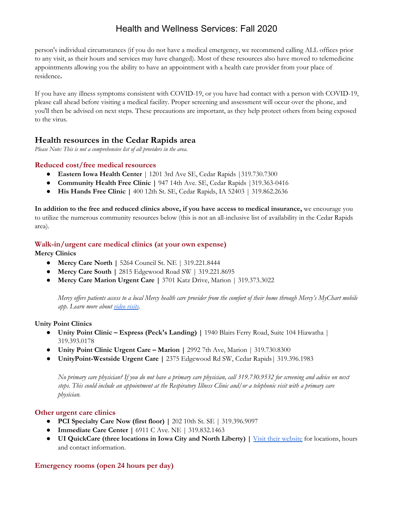person's individual circumstances (if you do not have a medical emergency, we recommend calling ALL offices prior to any visit, as their hours and services may have changed). Most of these resources also have moved to telemedicine appointments allowing you the ability to have an appointment with a health care provider from your place of residence**.**

If you have any illness symptoms consistent with COVID-19, or you have had contact with a person with COVID-19, please call ahead before visiting a medical facility. Proper screening and assessment will occur over the phone, and you'll then be advised on next steps. These precautions are important, as they help protect others from being exposed to the virus.

### **Health resources in the Cedar Rapids area**

*Please Note: This is not a comprehensive list of all providers in the area.*

#### **Reduced cost/free medical resources**

- **Eastern Iowa Health Center** | 1201 3rd Ave SE, Cedar Rapids |319.730.7300
- **Community Health Free Clinic |** 947 14th Ave. SE, Cedar Rapids |319.363-0416
- **His Hands Free Clinic |** 400 12th St. SE, Cedar Rapids, IA 52403 | 319.862.2636

**In addition to the free and reduced clinics above, if you have access to medical insurance,** we encourage you to utilize the numerous community resources below (this is not an all-inclusive list of availability in the Cedar Rapids area).

#### **Walk-in/urgent care medical clinics (at your own expense)**

**Mercy Clinics**

- **● Mercy Care North |** 5264 Council St. NE | 319.221.8444
- **● Mercy Care South |** 2815 Edgewood Road SW | 319.221.8695
- **● Mercy Care Marion Urgent Care |** 3701 Katz Drive, Marion | 319.373.3022

Mercy offers patients access to a local Mercy health care provider from the comfort of their home through Mercy's MyChart mobile *app. Learn more abou[t](https://www.mercycare.org/services/video-visit/) [video](https://www.mercycare.org/services/video-visit/) visits.*

#### **Unity Point Clinics**

- **● Unity Point Clinic – Express (Peck's Landing) |** 1940 Blairs Ferry Road, Suite 104 Hiawatha | 319.393.0178
- **● Unity Point Clinic Urgent Care – Marion |** 2992 7th Ave, Marion | 319.730.8300
- **UnityPoint-Westside Urgent Care |** 2375 Edgewood Rd SW, Cedar Rapids| 319.396.1983

No primary care physician? If you do not have a primary care physician, call 319.730.9532 for screening and advice on next steps. This could include an appointment at the Respiratory Illness Clinic and/or a telephonic visit with a primary care *physician.*

#### **Other urgent care clinics**

- **● PCI Specialty Care Now (first floor) |** 202 10th St. SE | 319.396.9097
- **● Immediate Care Center |** 6911 C Ave. NE | 319.832.1463
- **● UI QuickCare (three locations in Iowa City and North Liberty) |** Visit their [website](https://uihc.org/ui-quickcare) for [locations,](https://uihc.org/ui-quickcare) hours and contact [information.](https://uihc.org/ui-quickcare)

#### **Emergency rooms (open 24 hours per day)**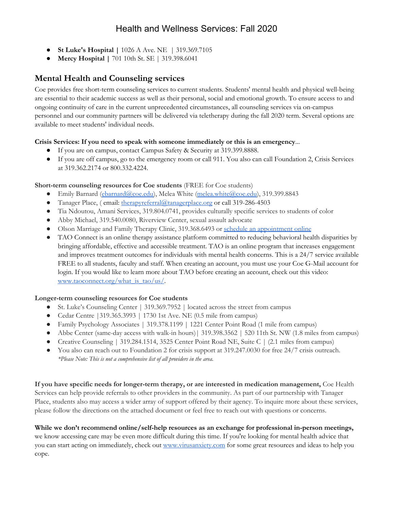- **St Luke's Hospital |** 1026 A Ave. NE | 319.369.7105
- **Mercy Hospital |** 701 10th St. SE | 319.398.6041

## **Mental Health and Counseling services**

Coe provides free short-term counseling services to current students. Students' mental health and physical well-being are essential to their academic success as well as their personal, social and emotional growth. To ensure access to and ongoing continuity of care in the current unprecedented circumstances, all counseling services via on-campus personnel and our community partners will be delivered via teletherapy during the fall 2020 term. Several options are available to meet students' individual needs.

#### **Crisis Services: If you need to speak with someone immediately or this is an emergency**...

- If you are on campus, contact Campus Safety & Security at 319.399.8888.
- If you are off campus, go to the emergency room or call 911. You also can call Foundation 2, Crisis Services at 319.362.2174 or 800.332.4224.

#### **Short-term counseling resources for Coe students** (FREE for Coe students)

- Emily Barnard [\(ebarnard@coe.edu](mailto:ebarnard@coe.edu)), Melea White ([melea.white@coe.edu](mailto:melea.white@coe.edu)), 319.399.8843
- Tanager Place, ( email: [therapyreferral@tanagerplace.org](mailto:therapyreferral@tanagerplace.org) or call 319-286-4503
- Tia Ndoutou, Amani Services, 319.804.0741, provides culturally specific services to students of color
- Abby Michael, 319.540.0080, Riverview Center, sexual assault advocate
- Olson Marriage and Family Therapy Clinic, 319.368.6493 or schedule an [appointment](https://www.olsonmftclinic.com/appointment) online
- *●* TAO Connect is an online therapy assistance platform committed to reducing behavioral health disparities by bringing affordable, effective and accessible treatment. TAO is an online program that increases engagement and improves treatment outcomes for individuals with mental health concerns. This is a 24/7 service available FREE to all students, faculty and staff. When creating an account, you must use your Coe G-Mail account for login. If you would like to learn more about TAO before creating an account, check out this video[:](https://www.taoconnect.org/what_is_tao/us/) [www.taoconnect.org/what\\_is\\_tao/us/](https://www.taoconnect.org/what_is_tao/us/).

#### **Longer-term counseling resources for Coe students**

- St. Luke's Counseling Center | 319.369.7952 | located across the street from campus
- Cedar Centre |319.365.3993 | 1730 1st Ave. NE (0.5 mile from campus)
- Family Psychology Associates | 319.378.1199 | 1221 Center Point Road (1 mile from campus)
- Abbe Center (same-day access with walk-in hours) | 319.398.3562 | 520 11th St. NW (1.8 miles from campus)
- Creative Counseling | 319.284.1514, 3525 Center Point Road NE, Suite C | (2.1 miles from campus)
- You also can reach out to Foundation 2 for crisis support at 319.247.0030 for free 24/7 crisis outreach. *\*Please Note: This is not a comprehensive list of all providers in the area.*

**If you have specific needs for longer-term therapy, or are interested in medication management,** Coe Health Services can help provide referrals to other providers in the community. As part of our partnership with Tanager Place, students also may access a wider array of support offered by their agency. To inquire more about these services, please follow the directions on the attached document or feel free to reach out with questions or concerns.

#### **While we don't recommend online/self-help resources as an exchange for professional in-person meetings,**

we know accessing care may be even more difficult during this time. If you're looking for mental health advice that you can start acting on immediately, check out [www.virusanxiety.com](http://www.virusanxiety.com/) for some great resources and ideas to help you cope.